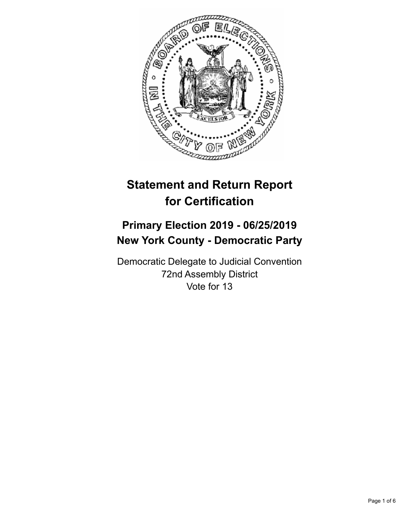

# **Statement and Return Report for Certification**

## **Primary Election 2019 - 06/25/2019 New York County - Democratic Party**

Democratic Delegate to Judicial Convention 72nd Assembly District Vote for 13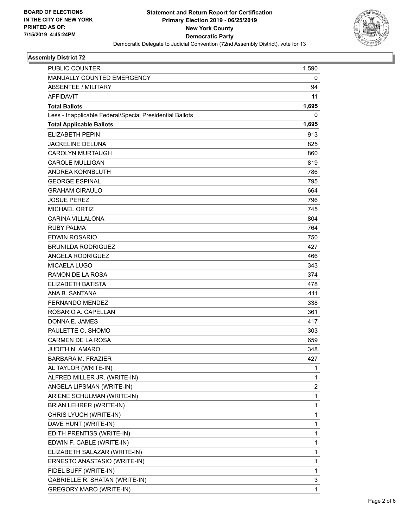

#### **Assembly District 72**

| PUBLIC COUNTER                                           | 1,590        |
|----------------------------------------------------------|--------------|
| MANUALLY COUNTED EMERGENCY                               | 0            |
| <b>ABSENTEE / MILITARY</b>                               | 94           |
| <b>AFFIDAVIT</b>                                         | 11           |
| <b>Total Ballots</b>                                     | 1,695        |
| Less - Inapplicable Federal/Special Presidential Ballots | 0            |
| <b>Total Applicable Ballots</b>                          | 1,695        |
| <b>ELIZABETH PEPIN</b>                                   | 913          |
| <b>JACKELINE DELUNA</b>                                  | 825          |
| CAROLYN MURTAUGH                                         | 860          |
| <b>CAROLE MULLIGAN</b>                                   | 819          |
| ANDREA KORNBLUTH                                         | 786          |
| <b>GEORGE ESPINAL</b>                                    | 795          |
| <b>GRAHAM CIRAULO</b>                                    | 664          |
| <b>JOSUE PEREZ</b>                                       | 796          |
| <b>MICHAEL ORTIZ</b>                                     | 745          |
| <b>CARINA VILLALONA</b>                                  | 804          |
| <b>RUBY PALMA</b>                                        | 764          |
| <b>EDWIN ROSARIO</b>                                     | 750          |
| <b>BRUNILDA RODRIGUEZ</b>                                | 427          |
| <b>ANGELA RODRIGUEZ</b>                                  | 466          |
| MICAELA LUGO                                             | 343          |
| RAMON DE LA ROSA                                         | 374          |
| <b>ELIZABETH BATISTA</b>                                 | 478          |
| ANA B. SANTANA                                           | 411          |
| <b>FERNANDO MENDEZ</b>                                   | 338          |
| ROSARIO A. CAPELLAN                                      | 361          |
| DONNA E. JAMES                                           | 417          |
| PAULETTE O. SHOMO                                        | 303          |
| <b>CARMEN DE LA ROSA</b>                                 | 659          |
| <b>JUDITH N. AMARO</b>                                   | 348          |
| <b>BARBARA M. FRAZIER</b>                                | 427          |
| AL TAYLOR (WRITE-IN)                                     | 1            |
| ALFRED MILLER JR. (WRITE-IN)                             | 1            |
| ANGELA LIPSMAN (WRITE-IN)                                | 2            |
| ARIENE SCHULMAN (WRITE-IN)                               | 1            |
| BRIAN LEHRER (WRITE-IN)                                  | 1            |
| CHRIS LYUCH (WRITE-IN)                                   | 1            |
| DAVE HUNT (WRITE-IN)                                     | 1            |
| EDITH PRENTISS (WRITE-IN)                                | 1            |
| EDWIN F. CABLE (WRITE-IN)                                | 1            |
| ELIZABETH SALAZAR (WRITE-IN)                             | 1            |
| ERNESTO ANASTASIO (WRITE-IN)                             | 1            |
| FIDEL BUFF (WRITE-IN)                                    | 1            |
| GABRIELLE R. SHATAN (WRITE-IN)                           | 3            |
| GREGORY MARO (WRITE-IN)                                  | $\mathbf{1}$ |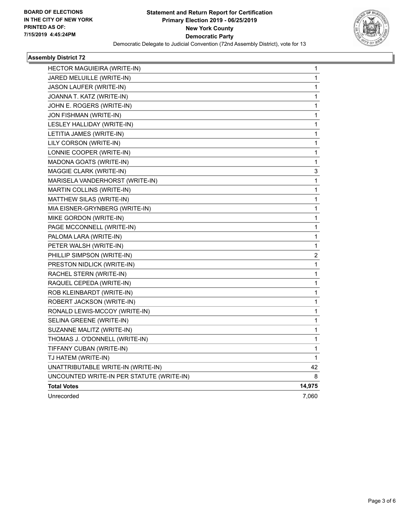

#### **Assembly District 72**

| HECTOR MAGUIEIRA (WRITE-IN)               | 1                       |
|-------------------------------------------|-------------------------|
| JARED MELUILLE (WRITE-IN)                 | 1                       |
| JASON LAUFER (WRITE-IN)                   | 1                       |
| JOANNA T. KATZ (WRITE-IN)                 | 1                       |
| JOHN E. ROGERS (WRITE-IN)                 | 1                       |
| JON FISHMAN (WRITE-IN)                    | 1                       |
| LESLEY HALLIDAY (WRITE-IN)                | 1                       |
| LETITIA JAMES (WRITE-IN)                  | 1                       |
| LILY CORSON (WRITE-IN)                    | 1                       |
| LONNIE COOPER (WRITE-IN)                  | 1                       |
| MADONA GOATS (WRITE-IN)                   | 1                       |
| MAGGIE CLARK (WRITE-IN)                   | 3                       |
| MARISELA VANDERHORST (WRITE-IN)           | $\mathbf{1}$            |
| MARTIN COLLINS (WRITE-IN)                 | $\mathbf{1}$            |
| MATTHEW SILAS (WRITE-IN)                  | 1                       |
| MIA EISNER-GRYNBERG (WRITE-IN)            | $\mathbf{1}$            |
| MIKE GORDON (WRITE-IN)                    | 1                       |
| PAGE MCCONNELL (WRITE-IN)                 | 1                       |
| PALOMA LARA (WRITE-IN)                    | 1                       |
| PETER WALSH (WRITE-IN)                    | 1                       |
| PHILLIP SIMPSON (WRITE-IN)                | $\overline{\mathbf{c}}$ |
| PRESTON NIDLICK (WRITE-IN)                | 1                       |
| RACHEL STERN (WRITE-IN)                   | 1                       |
| RAQUEL CEPEDA (WRITE-IN)                  | 1                       |
| ROB KLEINBARDT (WRITE-IN)                 | 1                       |
| ROBERT JACKSON (WRITE-IN)                 | 1                       |
| RONALD LEWIS-MCCOY (WRITE-IN)             | 1                       |
| SELINA GREENE (WRITE-IN)                  | 1                       |
| SUZANNE MALITZ (WRITE-IN)                 | 1                       |
| THOMAS J. O'DONNELL (WRITE-IN)            | 1                       |
| TIFFANY CUBAN (WRITE-IN)                  | $\mathbf{1}$            |
| TJ HATEM (WRITE-IN)                       | 1                       |
| UNATTRIBUTABLE WRITE-IN (WRITE-IN)        | 42                      |
| UNCOUNTED WRITE-IN PER STATUTE (WRITE-IN) | 8                       |
| <b>Total Votes</b>                        | 14,975                  |
| Unrecorded                                | 7,060                   |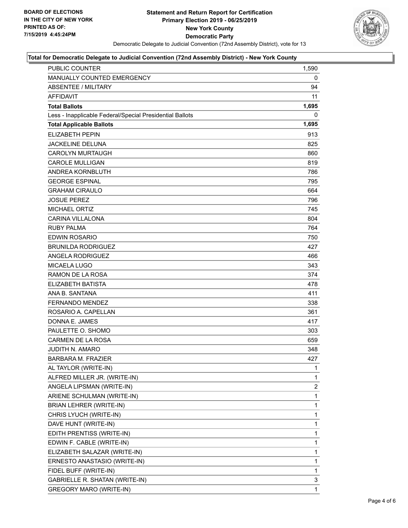

#### **Total for Democratic Delegate to Judicial Convention (72nd Assembly District) - New York County**

| PUBLIC COUNTER                                           | 1,590        |
|----------------------------------------------------------|--------------|
| MANUALLY COUNTED EMERGENCY                               | 0            |
| <b>ABSENTEE / MILITARY</b>                               | 94           |
| <b>AFFIDAVIT</b>                                         | 11           |
| <b>Total Ballots</b>                                     | 1,695        |
| Less - Inapplicable Federal/Special Presidential Ballots | 0            |
| <b>Total Applicable Ballots</b>                          | 1,695        |
| <b>ELIZABETH PEPIN</b>                                   | 913          |
| <b>JACKELINE DELUNA</b>                                  | 825          |
| <b>CAROLYN MURTAUGH</b>                                  | 860          |
| <b>CAROLE MULLIGAN</b>                                   | 819          |
| ANDREA KORNBLUTH                                         | 786          |
| <b>GEORGE ESPINAL</b>                                    | 795          |
| <b>GRAHAM CIRAULO</b>                                    | 664          |
| <b>JOSUE PEREZ</b>                                       | 796          |
| <b>MICHAEL ORTIZ</b>                                     | 745          |
| <b>CARINA VILLALONA</b>                                  | 804          |
| <b>RUBY PALMA</b>                                        | 764          |
| <b>EDWIN ROSARIO</b>                                     | 750          |
| <b>BRUNILDA RODRIGUEZ</b>                                | 427          |
| ANGELA RODRIGUEZ                                         | 466          |
| <b>MICAELA LUGO</b>                                      | 343          |
| RAMON DE LA ROSA                                         | 374          |
| <b>ELIZABETH BATISTA</b>                                 | 478          |
| ANA B. SANTANA                                           | 411          |
| <b>FERNANDO MENDEZ</b>                                   | 338          |
| ROSARIO A. CAPELLAN                                      | 361          |
| DONNA E. JAMES                                           | 417          |
| PAULETTE O. SHOMO                                        | 303          |
| <b>CARMEN DE LA ROSA</b>                                 | 659          |
| <b>JUDITH N. AMARO</b>                                   | 348          |
| <b>BARBARA M. FRAZIER</b>                                | 427          |
| AL TAYLOR (WRITE-IN)                                     | $\mathbf{1}$ |
| ALFRED MILLER JR. (WRITE-IN)                             | 1            |
| ANGELA LIPSMAN (WRITE-IN)                                | 2            |
| ARIENE SCHULMAN (WRITE-IN)                               | 1            |
| BRIAN LEHRER (WRITE-IN)                                  | 1            |
| CHRIS LYUCH (WRITE-IN)                                   | 1            |
| DAVE HUNT (WRITE-IN)                                     | 1            |
| EDITH PRENTISS (WRITE-IN)                                | 1            |
| EDWIN F. CABLE (WRITE-IN)                                | 1            |
| ELIZABETH SALAZAR (WRITE-IN)                             | 1            |
| ERNESTO ANASTASIO (WRITE-IN)                             | 1            |
| FIDEL BUFF (WRITE-IN)                                    | 1            |
| GABRIELLE R. SHATAN (WRITE-IN)                           | 3            |
| <b>GREGORY MARO (WRITE-IN)</b>                           | 1            |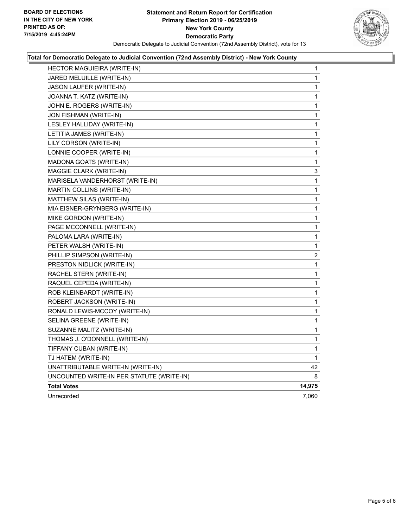

#### **Total for Democratic Delegate to Judicial Convention (72nd Assembly District) - New York County**

| HECTOR MAGUIEIRA (WRITE-IN)               | 1           |
|-------------------------------------------|-------------|
| JARED MELUILLE (WRITE-IN)                 | 1           |
| JASON LAUFER (WRITE-IN)                   | 1           |
| JOANNA T. KATZ (WRITE-IN)                 | 1           |
| JOHN E. ROGERS (WRITE-IN)                 | 1           |
| JON FISHMAN (WRITE-IN)                    | 1           |
| LESLEY HALLIDAY (WRITE-IN)                | 1           |
| LETITIA JAMES (WRITE-IN)                  | 1           |
| LILY CORSON (WRITE-IN)                    | 1           |
| LONNIE COOPER (WRITE-IN)                  | 1           |
| MADONA GOATS (WRITE-IN)                   | 1           |
| MAGGIE CLARK (WRITE-IN)                   | 3           |
| MARISELA VANDERHORST (WRITE-IN)           | 1           |
| MARTIN COLLINS (WRITE-IN)                 | 1           |
| MATTHEW SILAS (WRITE-IN)                  | 1           |
| MIA EISNER-GRYNBERG (WRITE-IN)            | 1           |
| MIKE GORDON (WRITE-IN)                    | 1           |
| PAGE MCCONNELL (WRITE-IN)                 | 1           |
| PALOMA LARA (WRITE-IN)                    | 1           |
| PETER WALSH (WRITE-IN)                    | 1           |
| PHILLIP SIMPSON (WRITE-IN)                | 2           |
| PRESTON NIDLICK (WRITE-IN)                | 1           |
| RACHEL STERN (WRITE-IN)                   | 1           |
| RAQUEL CEPEDA (WRITE-IN)                  | 1           |
| ROB KLEINBARDT (WRITE-IN)                 | 1           |
| ROBERT JACKSON (WRITE-IN)                 | 1           |
| RONALD LEWIS-MCCOY (WRITE-IN)             | 1           |
| SELINA GREENE (WRITE-IN)                  | 1           |
| SUZANNE MALITZ (WRITE-IN)                 | 1           |
| THOMAS J. O'DONNELL (WRITE-IN)            | 1           |
| TIFFANY CUBAN (WRITE-IN)                  | 1           |
| TJ HATEM (WRITE-IN)                       | $\mathbf 1$ |
| UNATTRIBUTABLE WRITE-IN (WRITE-IN)        | 42          |
| UNCOUNTED WRITE-IN PER STATUTE (WRITE-IN) | 8           |
| <b>Total Votes</b>                        | 14,975      |
| Unrecorded                                | 7,060       |